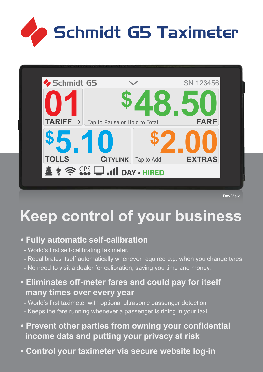



Day View

# **Keep control of your business**

## **• Fully automatic self-calibration**

- World's first self-calibrating taximeter.
- Recalibrates itself automatically whenever required e.g. when you change tyres.
- No need to visit a dealer for calibration, saving you time and money.
- **Eliminates off-meter fares and could pay for itself many times over every year**
	- World's first taximeter with optional ultrasonic passenger detection
	- Keeps the fare running whenever a passenger is riding in your taxi
- **Prevent other parties from owning your confidential income data and putting your privacy at risk**
- **Control your taximeter via secure website log-in**